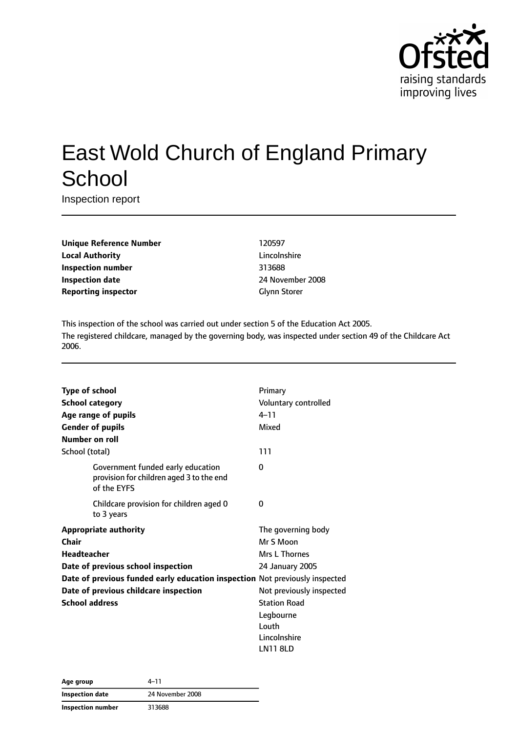

# East Wold Church of England Primary **School**

Inspection report

| <b>Unique Reference Number</b> |
|--------------------------------|
| <b>Local Authority</b>         |
| <b>Inspection number</b>       |
| <b>Inspection date</b>         |
| <b>Reporting inspector</b>     |

**Unique Reference Number** 120597 **Lincolnshire Inspection number** 313688 **Inspection date** 24 November 2008 **Glynn Storer** 

This inspection of the school was carried out under section 5 of the Education Act 2005. The registered childcare, managed by the governing body, was inspected under section 49 of the Childcare Act 2006.

| <b>Type of school</b>  |                                                                                              | Primary                  |
|------------------------|----------------------------------------------------------------------------------------------|--------------------------|
| <b>School category</b> |                                                                                              | Voluntary controlled     |
|                        | Age range of pupils                                                                          | $4 - 11$                 |
|                        | <b>Gender of pupils</b>                                                                      | Mixed                    |
| Number on roll         |                                                                                              |                          |
| School (total)         |                                                                                              | 111                      |
|                        | Government funded early education<br>provision for children aged 3 to the end<br>of the EYFS | 0                        |
|                        | Childcare provision for children aged 0<br>to 3 years                                        | 0                        |
|                        | <b>Appropriate authority</b>                                                                 | The governing body       |
| Chair                  |                                                                                              | Mr S Moon                |
| <b>Headteacher</b>     |                                                                                              | Mrs L Thornes            |
|                        | Date of previous school inspection                                                           | 24 January 2005          |
|                        | Date of previous funded early education inspection Not previously inspected                  |                          |
|                        | Date of previous childcare inspection                                                        | Not previously inspected |
| <b>School address</b>  |                                                                                              | <b>Station Road</b>      |
|                        |                                                                                              | Legbourne                |
|                        |                                                                                              | Louth                    |
|                        |                                                                                              | Lincolnshire             |
|                        |                                                                                              | <b>LN11 8LD</b>          |

| Age group         | 4–11             |
|-------------------|------------------|
| Inspection date   | 24 November 2008 |
| Inspection number | 313688           |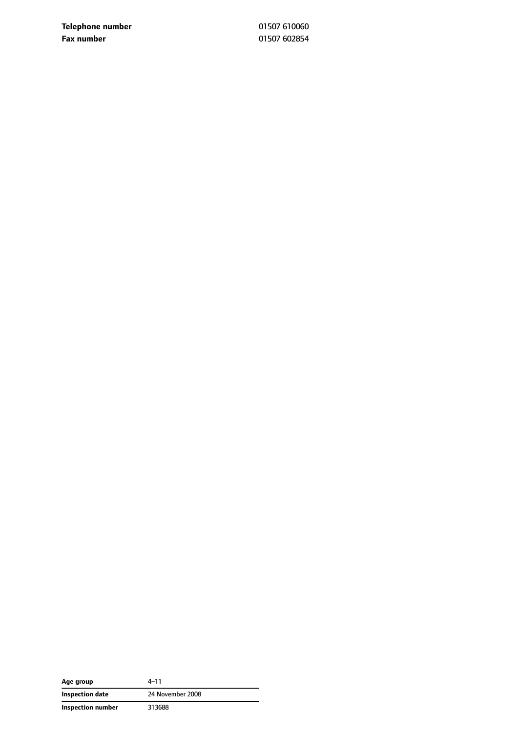**Telephone number** 01507 610060 **Fax number** 01507 602854

| Age group         | $4 - 11$         |
|-------------------|------------------|
| Inspection date   | 24 November 2008 |
| Inspection number | 313688           |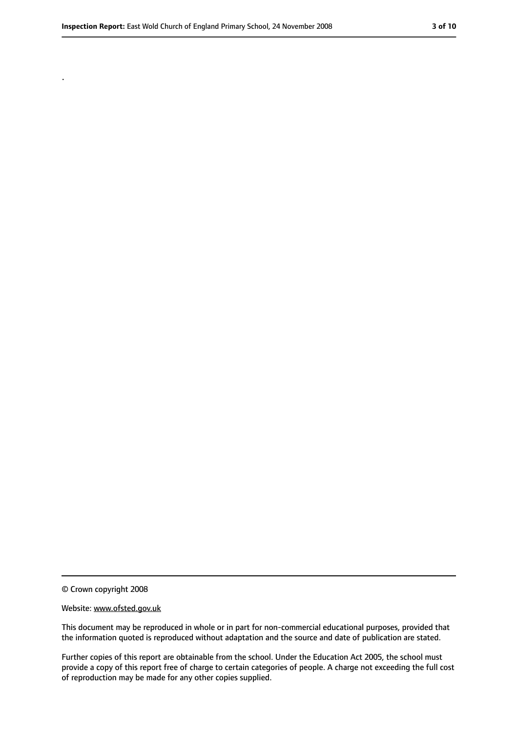.

#### Website: www.ofsted.gov.uk

This document may be reproduced in whole or in part for non-commercial educational purposes, provided that the information quoted is reproduced without adaptation and the source and date of publication are stated.

Further copies of this report are obtainable from the school. Under the Education Act 2005, the school must provide a copy of this report free of charge to certain categories of people. A charge not exceeding the full cost of reproduction may be made for any other copies supplied.

<sup>©</sup> Crown copyright 2008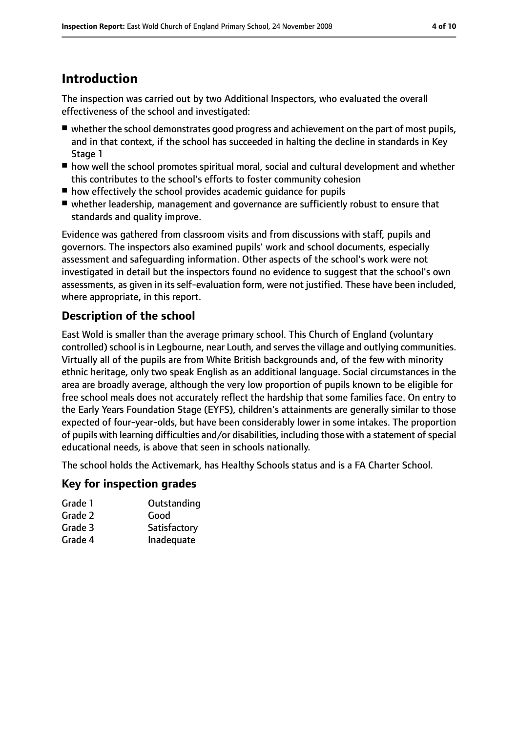## **Introduction**

The inspection was carried out by two Additional Inspectors, who evaluated the overall effectiveness of the school and investigated:

- whether the school demonstrates good progress and achievement on the part of most pupils, and in that context, if the school has succeeded in halting the decline in standards in Key Stage 1
- how well the school promotes spiritual moral, social and cultural development and whether this contributes to the school's efforts to foster community cohesion
- how effectively the school provides academic quidance for pupils
- whether leadership, management and governance are sufficiently robust to ensure that standards and quality improve.

Evidence was gathered from classroom visits and from discussions with staff, pupils and governors. The inspectors also examined pupils' work and school documents, especially assessment and safeguarding information. Other aspects of the school's work were not investigated in detail but the inspectors found no evidence to suggest that the school's own assessments, as given in its self-evaluation form, were not justified. These have been included, where appropriate, in this report.

## **Description of the school**

East Wold is smaller than the average primary school. This Church of England (voluntary controlled) school is in Legbourne, near Louth, and serves the village and outlying communities. Virtually all of the pupils are from White British backgrounds and, of the few with minority ethnic heritage, only two speak English as an additional language. Social circumstances in the area are broadly average, although the very low proportion of pupils known to be eligible for free school meals does not accurately reflect the hardship that some families face. On entry to the Early Years Foundation Stage (EYFS), children's attainments are generally similar to those expected of four-year-olds, but have been considerably lower in some intakes. The proportion of pupils with learning difficulties and/or disabilities, including those with a statement of special educational needs, is above that seen in schools nationally.

The school holds the Activemark, has Healthy Schools status and is a FA Charter School.

#### **Key for inspection grades**

| Grade 1       | Outstanding |
|---------------|-------------|
| $\sim$ $\sim$ |             |

- Grade 2 Good
- Grade 3 Satisfactory
- Grade 4 Inadequate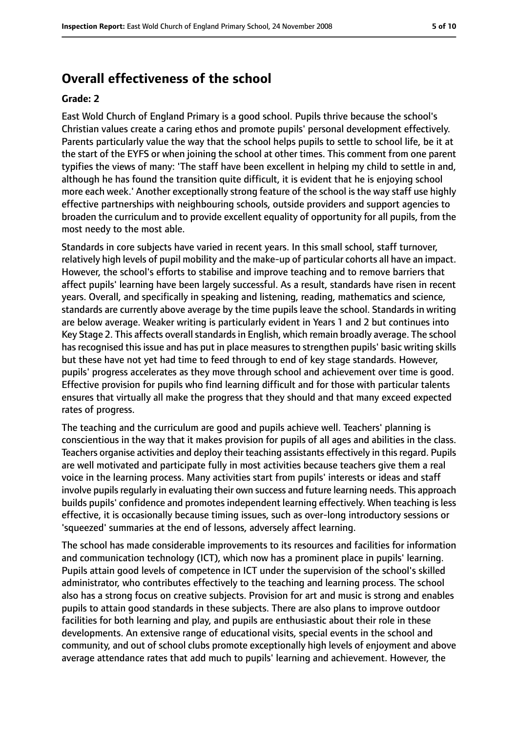## **Overall effectiveness of the school**

#### **Grade: 2**

East Wold Church of England Primary is a good school. Pupils thrive because the school's Christian values create a caring ethos and promote pupils' personal development effectively. Parents particularly value the way that the school helps pupils to settle to school life, be it at the start of the EYFS or when joining the school at other times. This comment from one parent typifies the views of many: 'The staff have been excellent in helping my child to settle in and, although he has found the transition quite difficult, it is evident that he is enjoying school more each week.' Another exceptionally strong feature of the school is the way staff use highly effective partnerships with neighbouring schools, outside providers and support agencies to broaden the curriculum and to provide excellent equality of opportunity for all pupils, from the most needy to the most able.

Standards in core subjects have varied in recent years. In this small school, staff turnover, relatively high levels of pupil mobility and the make-up of particular cohorts all have an impact. However, the school's efforts to stabilise and improve teaching and to remove barriers that affect pupils' learning have been largely successful. As a result, standards have risen in recent years. Overall, and specifically in speaking and listening, reading, mathematics and science, standards are currently above average by the time pupils leave the school. Standards in writing are below average. Weaker writing is particularly evident in Years 1 and 2 but continues into Key Stage 2. This affects overall standards in English, which remain broadly average. The school has recognised this issue and has put in place measures to strengthen pupils' basic writing skills but these have not yet had time to feed through to end of key stage standards. However, pupils' progress accelerates as they move through school and achievement over time is good. Effective provision for pupils who find learning difficult and for those with particular talents ensures that virtually all make the progress that they should and that many exceed expected rates of progress.

The teaching and the curriculum are good and pupils achieve well. Teachers' planning is conscientious in the way that it makes provision for pupils of all ages and abilities in the class. Teachers organise activities and deploy their teaching assistants effectively in this regard. Pupils are well motivated and participate fully in most activities because teachers give them a real voice in the learning process. Many activities start from pupils' interests or ideas and staff involve pupils regularly in evaluating their own success and future learning needs. This approach builds pupils' confidence and promotes independent learning effectively. When teaching is less effective, it is occasionally because timing issues, such as over-long introductory sessions or 'squeezed' summaries at the end of lessons, adversely affect learning.

The school has made considerable improvements to its resources and facilities for information and communication technology (ICT), which now has a prominent place in pupils' learning. Pupils attain good levels of competence in ICT under the supervision of the school's skilled administrator, who contributes effectively to the teaching and learning process. The school also has a strong focus on creative subjects. Provision for art and music is strong and enables pupils to attain good standards in these subjects. There are also plans to improve outdoor facilities for both learning and play, and pupils are enthusiastic about their role in these developments. An extensive range of educational visits, special events in the school and community, and out of school clubs promote exceptionally high levels of enjoyment and above average attendance rates that add much to pupils' learning and achievement. However, the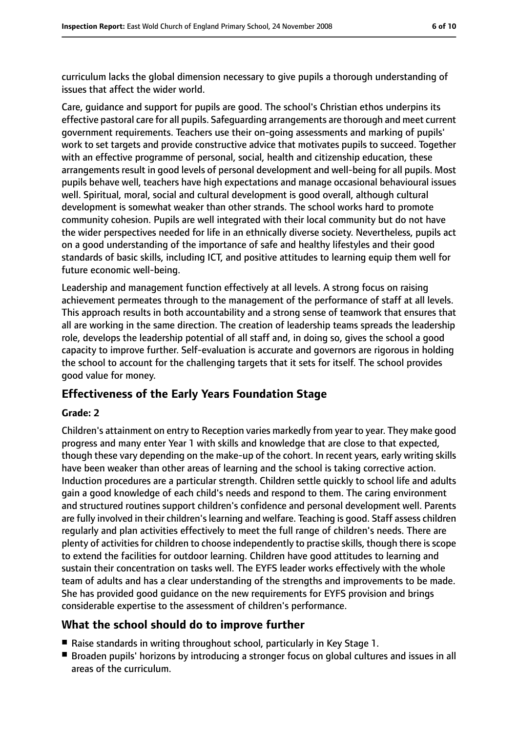curriculum lacks the global dimension necessary to give pupils a thorough understanding of issues that affect the wider world.

Care, guidance and support for pupils are good. The school's Christian ethos underpins its effective pastoral care for all pupils. Safeguarding arrangements are thorough and meet current government requirements. Teachers use their on-going assessments and marking of pupils' work to set targets and provide constructive advice that motivates pupils to succeed. Together with an effective programme of personal, social, health and citizenship education, these arrangements result in good levels of personal development and well-being for all pupils. Most pupils behave well, teachers have high expectations and manage occasional behavioural issues well. Spiritual, moral, social and cultural development is good overall, although cultural development is somewhat weaker than other strands. The school works hard to promote community cohesion. Pupils are well integrated with their local community but do not have the wider perspectives needed for life in an ethnically diverse society. Nevertheless, pupils act on a good understanding of the importance of safe and healthy lifestyles and their good standards of basic skills, including ICT, and positive attitudes to learning equip them well for future economic well-being.

Leadership and management function effectively at all levels. A strong focus on raising achievement permeates through to the management of the performance of staff at all levels. This approach results in both accountability and a strong sense of teamwork that ensures that all are working in the same direction. The creation of leadership teams spreads the leadership role, develops the leadership potential of all staff and, in doing so, gives the school a good capacity to improve further. Self-evaluation is accurate and governors are rigorous in holding the school to account for the challenging targets that it sets for itself. The school provides good value for money.

#### **Effectiveness of the Early Years Foundation Stage**

#### **Grade: 2**

Children's attainment on entry to Reception varies markedly from year to year. They make good progress and many enter Year 1 with skills and knowledge that are close to that expected, though these vary depending on the make-up of the cohort. In recent years, early writing skills have been weaker than other areas of learning and the school is taking corrective action. Induction procedures are a particular strength. Children settle quickly to school life and adults gain a good knowledge of each child's needs and respond to them. The caring environment and structured routines support children's confidence and personal development well. Parents are fully involved in their children's learning and welfare. Teaching is good. Staff assess children regularly and plan activities effectively to meet the full range of children's needs. There are plenty of activities for children to choose independently to practise skills, though there is scope to extend the facilities for outdoor learning. Children have good attitudes to learning and sustain their concentration on tasks well. The EYFS leader works effectively with the whole team of adults and has a clear understanding of the strengths and improvements to be made. She has provided good guidance on the new requirements for EYFS provision and brings considerable expertise to the assessment of children's performance.

#### **What the school should do to improve further**

- Raise standards in writing throughout school, particularly in Key Stage 1.
- Broaden pupils' horizons by introducing a stronger focus on global cultures and issues in all areas of the curriculum.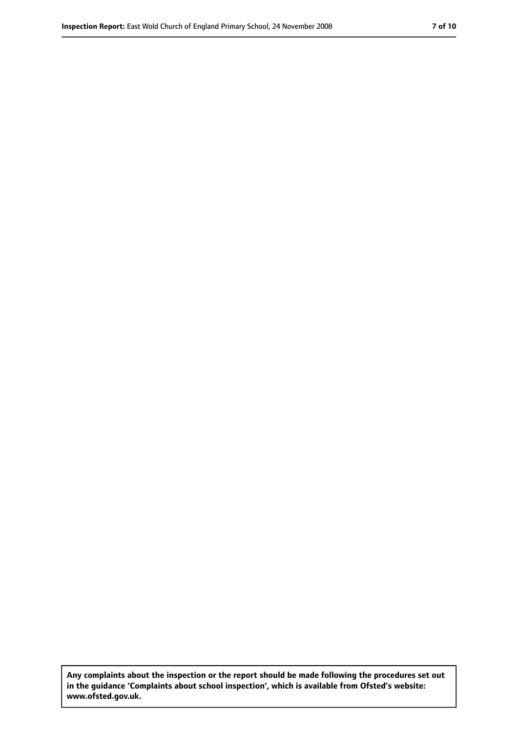**Any complaints about the inspection or the report should be made following the procedures set out in the guidance 'Complaints about school inspection', which is available from Ofsted's website: www.ofsted.gov.uk.**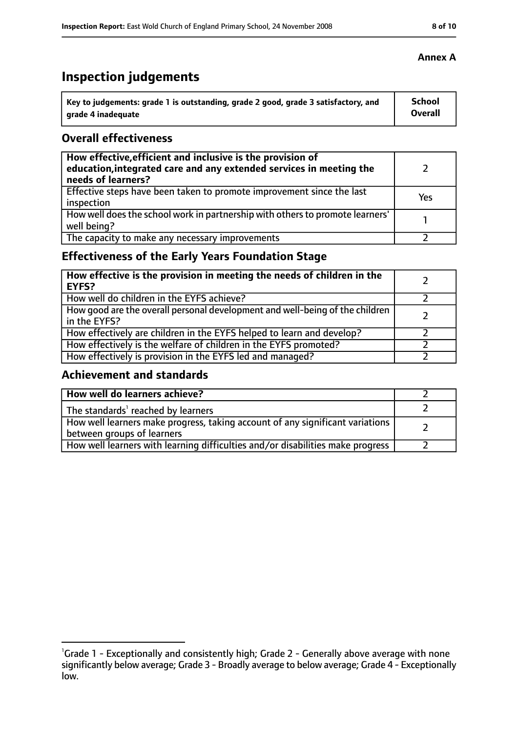## **Inspection judgements**

| Key to judgements: grade 1 is outstanding, grade 2 good, grade 3 satisfactory, and | <b>School</b>  |
|------------------------------------------------------------------------------------|----------------|
| arade 4 inadequate                                                                 | <b>Overall</b> |

#### **Overall effectiveness**

| How effective, efficient and inclusive is the provision of<br>education, integrated care and any extended services in meeting the<br>needs of learners? |     |
|---------------------------------------------------------------------------------------------------------------------------------------------------------|-----|
| Effective steps have been taken to promote improvement since the last<br>inspection                                                                     | Yes |
| How well does the school work in partnership with others to promote learners'<br>well being?                                                            |     |
| The capacity to make any necessary improvements                                                                                                         |     |

## **Effectiveness of the Early Years Foundation Stage**

| How effective is the provision in meeting the needs of children in the<br><b>EYFS?</b>       |  |
|----------------------------------------------------------------------------------------------|--|
| How well do children in the EYFS achieve?                                                    |  |
| How good are the overall personal development and well-being of the children<br>in the EYFS? |  |
| How effectively are children in the EYFS helped to learn and develop?                        |  |
| How effectively is the welfare of children in the EYFS promoted?                             |  |
| How effectively is provision in the EYFS led and managed?                                    |  |

#### **Achievement and standards**

| How well do learners achieve?                                                                               |  |
|-------------------------------------------------------------------------------------------------------------|--|
| The standards <sup>1</sup> reached by learners                                                              |  |
| How well learners make progress, taking account of any significant variations<br>between groups of learners |  |
| How well learners with learning difficulties and/or disabilities make progress                              |  |

#### **Annex A**

<sup>&</sup>lt;sup>1</sup>Grade 1 - Exceptionally and consistently high; Grade 2 - Generally above average with none significantly below average; Grade 3 - Broadly average to below average; Grade 4 - Exceptionally low.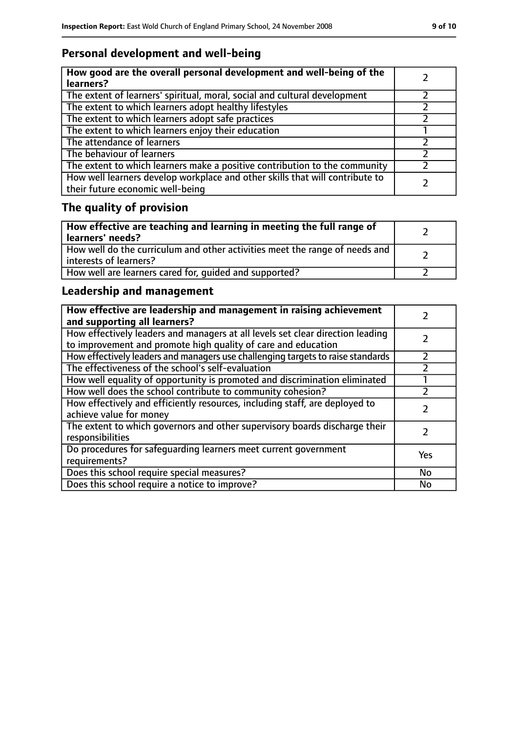## **Personal development and well-being**

| How good are the overall personal development and well-being of the<br>learners?                                 |  |
|------------------------------------------------------------------------------------------------------------------|--|
| The extent of learners' spiritual, moral, social and cultural development                                        |  |
| The extent to which learners adopt healthy lifestyles                                                            |  |
| The extent to which learners adopt safe practices                                                                |  |
| The extent to which learners enjoy their education                                                               |  |
| The attendance of learners                                                                                       |  |
| The behaviour of learners                                                                                        |  |
| The extent to which learners make a positive contribution to the community                                       |  |
| How well learners develop workplace and other skills that will contribute to<br>their future economic well-being |  |

# **The quality of provision**

| How effective are teaching and learning in meeting the full range of<br>learners' needs?              |  |
|-------------------------------------------------------------------------------------------------------|--|
| How well do the curriculum and other activities meet the range of needs and<br>interests of learners? |  |
| How well are learners cared for, quided and supported?                                                |  |

## **Leadership and management**

| How effective are leadership and management in raising achievement<br>and supporting all learners?                                              |     |
|-------------------------------------------------------------------------------------------------------------------------------------------------|-----|
| How effectively leaders and managers at all levels set clear direction leading<br>to improvement and promote high quality of care and education |     |
| How effectively leaders and managers use challenging targets to raise standards                                                                 |     |
| The effectiveness of the school's self-evaluation                                                                                               |     |
| How well equality of opportunity is promoted and discrimination eliminated                                                                      |     |
| How well does the school contribute to community cohesion?                                                                                      |     |
| How effectively and efficiently resources, including staff, are deployed to<br>achieve value for money                                          |     |
| The extent to which governors and other supervisory boards discharge their<br>responsibilities                                                  |     |
| Do procedures for safequarding learners meet current government<br>requirements?                                                                | Yes |
| Does this school require special measures?                                                                                                      | No  |
| Does this school require a notice to improve?                                                                                                   | No  |